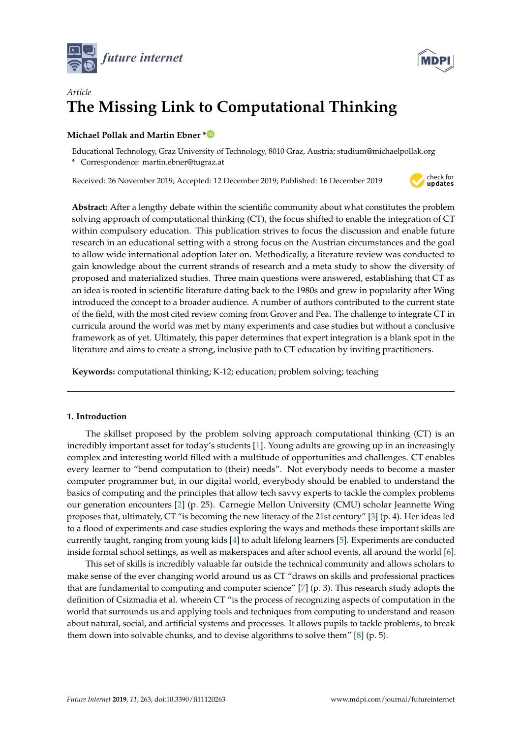<span id="page-0-0"></span>



# *Article* **The Missing Link to Computational Thinking**

# **Michael Pollak and Martin Ebner [\\*](https://orcid.org/0000-0001-5789-5296)**

Educational Technology, Graz University of Technology, 8010 Graz, Austria; studium@michaelpollak.org

**\*** Correspondence: martin.ebner@tugraz.at

Received: 26 November 2019; Accepted: 12 December 2019; Published: 16 December 2019



**Abstract:** After a lengthy debate within the scientific community about what constitutes the problem solving approach of computational thinking (CT), the focus shifted to enable the integration of CT within compulsory education. This publication strives to focus the discussion and enable future research in an educational setting with a strong focus on the Austrian circumstances and the goal to allow wide international adoption later on. Methodically, a literature review was conducted to gain knowledge about the current strands of research and a meta study to show the diversity of proposed and materialized studies. Three main questions were answered, establishing that CT as an idea is rooted in scientific literature dating back to the 1980s and grew in popularity after Wing introduced the concept to a broader audience. A number of authors contributed to the current state of the field, with the most cited review coming from Grover and Pea. The challenge to integrate CT in curricula around the world was met by many experiments and case studies but without a conclusive framework as of yet. Ultimately, this paper determines that expert integration is a blank spot in the literature and aims to create a strong, inclusive path to CT education by inviting practitioners.

**Keywords:** computational thinking; K-12; education; problem solving; teaching

# **1. Introduction**

The skillset proposed by the problem solving approach computational thinking (CT) is an incredibly important asset for today's students [\[1\]](#page-10-0). Young adults are growing up in an increasingly complex and interesting world filled with a multitude of opportunities and challenges. CT enables every learner to "bend computation to (their) needs". Not everybody needs to become a master computer programmer but, in our digital world, everybody should be enabled to understand the basics of computing and the principles that allow tech savvy experts to tackle the complex problems our generation encounters [\[2\]](#page-10-1) (p. 25). Carnegie Mellon University (CMU) scholar Jeannette Wing proposes that, ultimately, CT "is becoming the new literacy of the 21st century" [\[3\]](#page-10-2) (p. 4). Her ideas led to a flood of experiments and case studies exploring the ways and methods these important skills are currently taught, ranging from young kids [\[4\]](#page-10-3) to adult lifelong learners [\[5\]](#page-10-4). Experiments are conducted inside formal school settings, as well as makerspaces and after school events, all around the world [\[6\]](#page-10-5).

This set of skills is incredibly valuable far outside the technical community and allows scholars to make sense of the ever changing world around us as CT "draws on skills and professional practices that are fundamental to computing and computer science" [\[7\]](#page-10-6) (p. 3). This research study adopts the definition of Csizmadia et al. wherein CT "is the process of recognizing aspects of computation in the world that surrounds us and applying tools and techniques from computing to understand and reason about natural, social, and artificial systems and processes. It allows pupils to tackle problems, to break them down into solvable chunks, and to devise algorithms to solve them" [\[8\]](#page-10-7) (p. 5).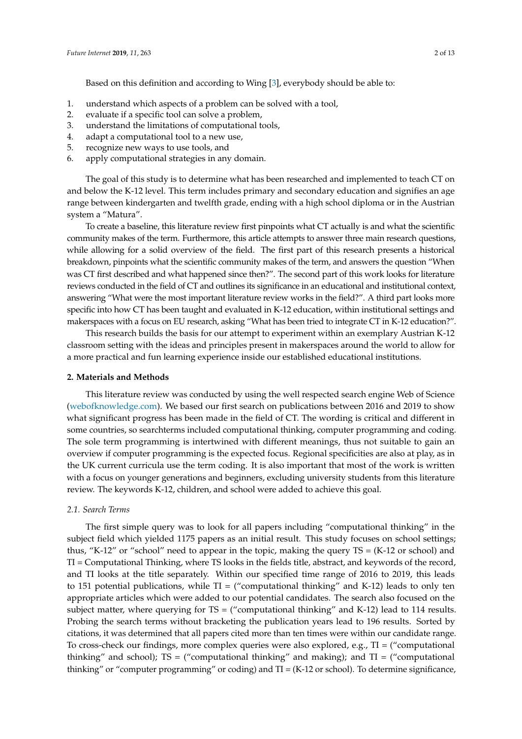Based on this definition and according to Wing [\[3\]](#page-10-2), everybody should be able to:

- 1. understand which aspects of a problem can be solved with a tool,
- 2. evaluate if a specific tool can solve a problem,
- 3. understand the limitations of computational tools,
- 4. adapt a computational tool to a new use,
- 5. recognize new ways to use tools, and
- 6. apply computational strategies in any domain.

The goal of this study is to determine what has been researched and implemented to teach CT on and below the K-12 level. This term includes primary and secondary education and signifies an age range between kindergarten and twelfth grade, ending with a high school diploma or in the Austrian system a "Matura".

To create a baseline, this literature review first pinpoints what CT actually is and what the scientific community makes of the term. Furthermore, this article attempts to answer three main research questions, while allowing for a solid overview of the field. The first part of this research presents a historical breakdown, pinpoints what the scientific community makes of the term, and answers the question "When was CT first described and what happened since then?". The second part of this work looks for literature reviews conducted in the field of CT and outlines its significance in an educational and institutional context, answering "What were the most important literature review works in the field?". A third part looks more specific into how CT has been taught and evaluated in K-12 education, within institutional settings and makerspaces with a focus on EU research, asking "What has been tried to integrate CT in K-12 education?".

This research builds the basis for our attempt to experiment within an exemplary Austrian K-12 classroom setting with the ideas and principles present in makerspaces around the world to allow for a more practical and fun learning experience inside our established educational institutions.

#### **2. Materials and Methods**

This literature review was conducted by using the well respected search engine Web of Science [\(webofknowledge.com\)](#page-0-0). We based our first search on publications between 2016 and 2019 to show what significant progress has been made in the field of CT. The wording is critical and different in some countries, so searchterms included computational thinking, computer programming and coding. The sole term programming is intertwined with different meanings, thus not suitable to gain an overview if computer programming is the expected focus. Regional specificities are also at play, as in the UK current curricula use the term coding. It is also important that most of the work is written with a focus on younger generations and beginners, excluding university students from this literature review. The keywords K-12, children, and school were added to achieve this goal.

# *2.1. Search Terms*

The first simple query was to look for all papers including "computational thinking" in the subject field which yielded 1175 papers as an initial result. This study focuses on school settings; thus, "K-12" or "school" need to appear in the topic, making the query  $TS = (K-12 \text{ or school})$  and TI = Computational Thinking, where TS looks in the fields title, abstract, and keywords of the record, and TI looks at the title separately. Within our specified time range of 2016 to 2019, this leads to 151 potential publications, while  $TI =$  ("computational thinking" and K-12) leads to only ten appropriate articles which were added to our potential candidates. The search also focused on the subject matter, where querying for  $TS =$  ("computational thinking" and K-12) lead to 114 results. Probing the search terms without bracketing the publication years lead to 196 results. Sorted by citations, it was determined that all papers cited more than ten times were within our candidate range. To cross-check our findings, more complex queries were also explored, e.g., TI = ("computational thinking" and school);  $TS =$  ("computational thinking" and making); and  $TI =$  ("computational thinking" or "computer programming" or coding) and  $TI = (K-12 \text{ or school})$ . To determine significance,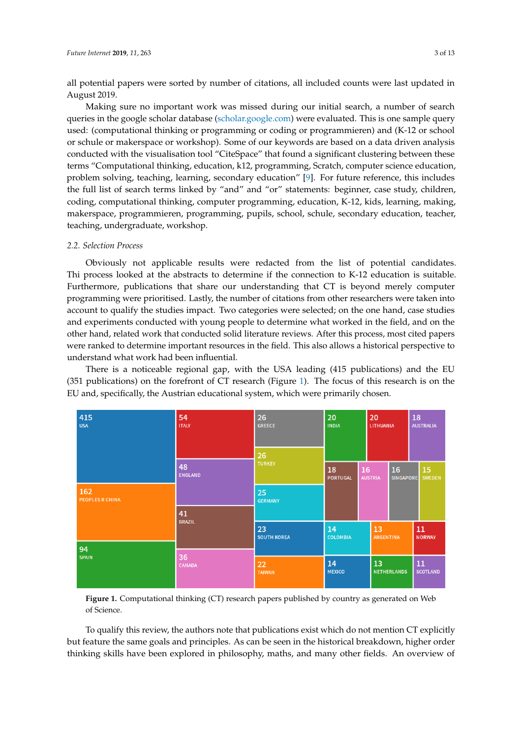all potential papers were sorted by number of citations, all included counts were last updated in August 2019.

Making sure no important work was missed during our initial search, a number of search queries in the google scholar database [\(scholar.google.com\)](#page-0-0) were evaluated. This is one sample query used: (computational thinking or programming or coding or programmieren) and (K-12 or school or schule or makerspace or workshop). Some of our keywords are based on a data driven analysis conducted with the visualisation tool "CiteSpace" that found a significant clustering between these terms "Computational thinking, education, k12, programming, Scratch, computer science education, problem solving, teaching, learning, secondary education" [\[9\]](#page-11-0). For future reference, this includes the full list of search terms linked by "and" and "or" statements: beginner, case study, children, coding, computational thinking, computer programming, education, K-12, kids, learning, making, makerspace, programmieren, programming, pupils, school, schule, secondary education, teacher, teaching, undergraduate, workshop.

#### *2.2. Selection Process*

Obviously not applicable results were redacted from the list of potential candidates. Thi process looked at the abstracts to determine if the connection to K-12 education is suitable. Furthermore, publications that share our understanding that CT is beyond merely computer programming were prioritised. Lastly, the number of citations from other researchers were taken into account to qualify the studies impact. Two categories were selected; on the one hand, case studies and experiments conducted with young people to determine what worked in the field, and on the other hand, related work that conducted solid literature reviews. After this process, most cited papers were ranked to determine important resources in the field. This also allows a historical perspective to understand what work had been influential.

There is a noticeable regional gap, with the USA leading (415 publications) and the EU (351 publications) on the forefront of CT research (Figure [1\)](#page-2-0). The focus of this research is on the EU and, specifically, the Austrian educational system, which were primarily chosen.

<span id="page-2-0"></span>

**Figure 1.** Computational thinking (CT) research papers published by country as generated on Web of Science.

To qualify this review, the authors note that publications exist which do not mention CT explicitly but feature the same goals and principles. As can be seen in the historical breakdown, higher order thinking skills have been explored in philosophy, maths, and many other fields. An overview of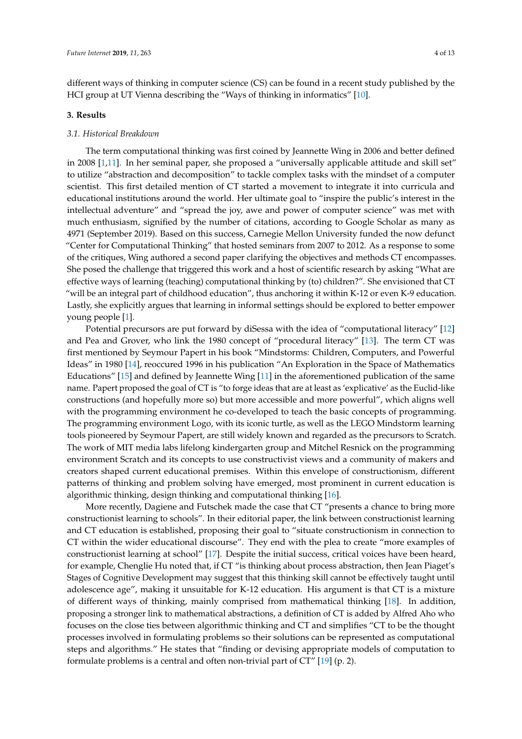different ways of thinking in computer science (CS) can be found in a recent study published by the HCI group at UT Vienna describing the "Ways of thinking in informatics" [\[10\]](#page-11-1).

#### **3. Results**

### *3.1. Historical Breakdown*

The term computational thinking was first coined by Jeannette Wing in 2006 and better defined in 2008 [\[1,](#page-10-0)[11\]](#page-11-2). In her seminal paper, she proposed a "universally applicable attitude and skill set" to utilize "abstraction and decomposition" to tackle complex tasks with the mindset of a computer scientist. This first detailed mention of CT started a movement to integrate it into curricula and educational institutions around the world. Her ultimate goal to "inspire the public's interest in the intellectual adventure" and "spread the joy, awe and power of computer science" was met with much enthusiasm, signified by the number of citations, according to Google Scholar as many as 4971 (September 2019). Based on this success, Carnegie Mellon University funded the now defunct "Center for Computational Thinking" that hosted seminars from 2007 to 2012. As a response to some of the critiques, Wing authored a second paper clarifying the objectives and methods CT encompasses. She posed the challenge that triggered this work and a host of scientific research by asking "What are effective ways of learning (teaching) computational thinking by (to) children?". She envisioned that CT "will be an integral part of childhood education", thus anchoring it within K-12 or even K-9 education. Lastly, she explicitly argues that learning in informal settings should be explored to better empower young people [\[1\]](#page-10-0).

Potential precursors are put forward by diSessa with the idea of "computational literacy" [\[12\]](#page-11-3) and Pea and Grover, who link the 1980 concept of "procedural literacy" [\[13\]](#page-11-4). The term CT was first mentioned by Seymour Papert in his book "Mindstorms: Children, Computers, and Powerful Ideas" in 1980 [\[14\]](#page-11-5), reoccured 1996 in his publication "An Exploration in the Space of Mathematics Educations" [\[15\]](#page-11-6) and defined by Jeannette Wing [\[11\]](#page-11-2) in the aforementioned publication of the same name. Papert proposed the goal of CT is "to forge ideas that are at least as 'explicative' as the Euclid-like constructions (and hopefully more so) but more accessible and more powerful", which aligns well with the programming environment he co-developed to teach the basic concepts of programming. The programming environment Logo, with its iconic turtle, as well as the LEGO Mindstorm learning tools pioneered by Seymour Papert, are still widely known and regarded as the precursors to Scratch. The work of MIT media labs lifelong kindergarten group and Mitchel Resnick on the programming environment Scratch and its concepts to use constructivist views and a community of makers and creators shaped current educational premises. Within this envelope of constructionism, different patterns of thinking and problem solving have emerged, most prominent in current education is algorithmic thinking, design thinking and computational thinking [\[16\]](#page-11-7).

More recently, Dagiene and Futschek made the case that CT "presents a chance to bring more constructionist learning to schools". In their editorial paper, the link between constructionist learning and CT education is established, proposing their goal to "situate constructionism in connection to CT within the wider educational discourse". They end with the plea to create "more examples of constructionist learning at school" [\[17\]](#page-11-8). Despite the initial success, critical voices have been heard, for example, Chenglie Hu noted that, if CT "is thinking about process abstraction, then Jean Piaget's Stages of Cognitive Development may suggest that this thinking skill cannot be effectively taught until adolescence age", making it unsuitable for K-12 education. His argument is that CT is a mixture of different ways of thinking, mainly comprised from mathematical thinking [\[18\]](#page-11-9). In addition, proposing a stronger link to mathematical abstractions, a definition of CT is added by Alfred Aho who focuses on the close ties between algorithmic thinking and CT and simplifies "CT to be the thought processes involved in formulating problems so their solutions can be represented as computational steps and algorithms." He states that "finding or devising appropriate models of computation to formulate problems is a central and often non-trivial part of CT" [\[19\]](#page-11-10) (p. 2).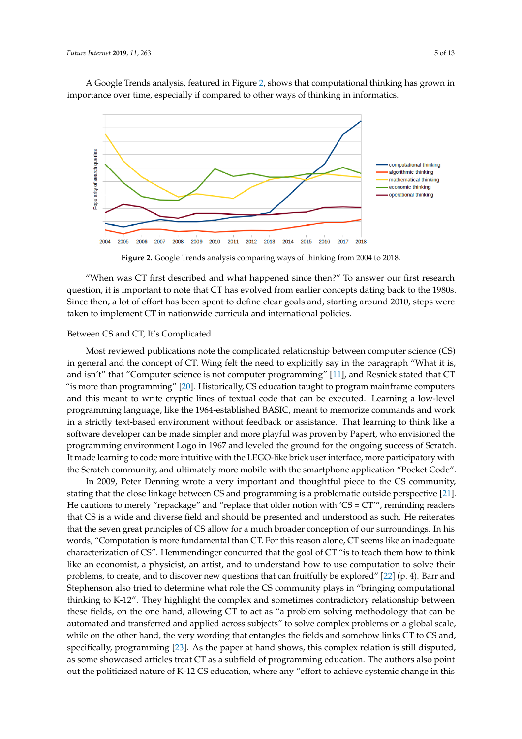A Google Trends analysis, featured in Figure [2,](#page-4-0) shows that computational thinking has grown in importance over time, especially if compared to other ways of thinking in informatics.

<span id="page-4-0"></span>

**Figure 2.** Google Trends analysis comparing ways of thinking from 2004 to 2018.

"When was CT first described and what happened since then?" To answer our first research question, it is important to note that CT has evolved from earlier concepts dating back to the 1980s. Since then, a lot of effort has been spent to define clear goals and, starting around 2010, steps were taken to implement CT in nationwide curricula and international policies.

#### Between CS and CT, It's Complicated

Most reviewed publications note the complicated relationship between computer science (CS) in general and the concept of CT. Wing felt the need to explicitly say in the paragraph "What it is, and isn't" that "Computer science is not computer programming" [\[11\]](#page-11-2), and Resnick stated that CT "is more than programming" [\[20\]](#page-11-11). Historically, CS education taught to program mainframe computers and this meant to write cryptic lines of textual code that can be executed. Learning a low-level programming language, like the 1964-established BASIC, meant to memorize commands and work in a strictly text-based environment without feedback or assistance. That learning to think like a software developer can be made simpler and more playful was proven by Papert, who envisioned the programming environment Logo in 1967 and leveled the ground for the ongoing success of Scratch. It made learning to code more intuitive with the LEGO-like brick user interface, more participatory with the Scratch community, and ultimately more mobile with the smartphone application "Pocket Code".

In 2009, Peter Denning wrote a very important and thoughtful piece to the CS community, stating that the close linkage between CS and programming is a problematic outside perspective [\[21\]](#page-11-12). He cautions to merely "repackage" and "replace that older notion with  $\text{'CS} = \text{'CT''}$ , reminding readers that CS is a wide and diverse field and should be presented and understood as such. He reiterates that the seven great principles of CS allow for a much broader conception of our surroundings. In his words, "Computation is more fundamental than CT. For this reason alone, CT seems like an inadequate characterization of CS". Hemmendinger concurred that the goal of CT "is to teach them how to think like an economist, a physicist, an artist, and to understand how to use computation to solve their problems, to create, and to discover new questions that can fruitfully be explored" [\[22\]](#page-11-13) (p. 4). Barr and Stephenson also tried to determine what role the CS community plays in "bringing computational thinking to K-12". They highlight the complex and sometimes contradictory relationship between these fields, on the one hand, allowing CT to act as "a problem solving methodology that can be automated and transferred and applied across subjects" to solve complex problems on a global scale, while on the other hand, the very wording that entangles the fields and somehow links CT to CS and, specifically, programming [\[23\]](#page-11-14). As the paper at hand shows, this complex relation is still disputed, as some showcased articles treat CT as a subfield of programming education. The authors also point out the politicized nature of K-12 CS education, where any "effort to achieve systemic change in this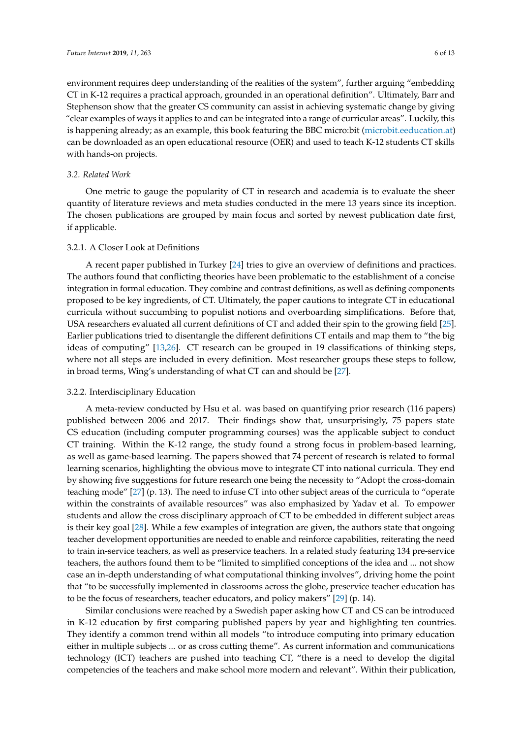environment requires deep understanding of the realities of the system", further arguing "embedding CT in K-12 requires a practical approach, grounded in an operational definition". Ultimately, Barr and Stephenson show that the greater CS community can assist in achieving systematic change by giving "clear examples of ways it applies to and can be integrated into a range of curricular areas". Luckily, this is happening already; as an example, this book featuring the BBC micro:bit [\(microbit.eeducation.at\)](#page-0-0) can be downloaded as an open educational resource (OER) and used to teach K-12 students CT skills with hands-on projects.

#### *3.2. Related Work*

One metric to gauge the popularity of CT in research and academia is to evaluate the sheer quantity of literature reviews and meta studies conducted in the mere 13 years since its inception. The chosen publications are grouped by main focus and sorted by newest publication date first, if applicable.

### 3.2.1. A Closer Look at Definitions

A recent paper published in Turkey [\[24\]](#page-11-15) tries to give an overview of definitions and practices. The authors found that conflicting theories have been problematic to the establishment of a concise integration in formal education. They combine and contrast definitions, as well as defining components proposed to be key ingredients, of CT. Ultimately, the paper cautions to integrate CT in educational curricula without succumbing to populist notions and overboarding simplifications. Before that, USA researchers evaluated all current definitions of CT and added their spin to the growing field [\[25\]](#page-11-16). Earlier publications tried to disentangle the different definitions CT entails and map them to "the big ideas of computing" [\[13](#page-11-4)[,26\]](#page-11-17). CT research can be grouped in 19 classifications of thinking steps, where not all steps are included in every definition. Most researcher groups these steps to follow, in broad terms, Wing's understanding of what CT can and should be [\[27\]](#page-11-18).

#### 3.2.2. Interdisciplinary Education

A meta-review conducted by Hsu et al. was based on quantifying prior research (116 papers) published between 2006 and 2017. Their findings show that, unsurprisingly, 75 papers state CS education (including computer programming courses) was the applicable subject to conduct CT training. Within the K-12 range, the study found a strong focus in problem-based learning, as well as game-based learning. The papers showed that 74 percent of research is related to formal learning scenarios, highlighting the obvious move to integrate CT into national curricula. They end by showing five suggestions for future research one being the necessity to "Adopt the cross-domain teaching mode" [\[27\]](#page-11-18) (p. 13). The need to infuse CT into other subject areas of the curricula to "operate within the constraints of available resources" was also emphasized by Yadav et al. To empower students and allow the cross disciplinary approach of CT to be embedded in different subject areas is their key goal [\[28\]](#page-11-19). While a few examples of integration are given, the authors state that ongoing teacher development opportunities are needed to enable and reinforce capabilities, reiterating the need to train in-service teachers, as well as preservice teachers. In a related study featuring 134 pre-service teachers, the authors found them to be "limited to simplified conceptions of the idea and ... not show case an in-depth understanding of what computational thinking involves", driving home the point that "to be successfully implemented in classrooms across the globe, preservice teacher education has to be the focus of researchers, teacher educators, and policy makers" [\[29\]](#page-11-20) (p. 14).

Similar conclusions were reached by a Swedish paper asking how CT and CS can be introduced in K-12 education by first comparing published papers by year and highlighting ten countries. They identify a common trend within all models "to introduce computing into primary education either in multiple subjects ... or as cross cutting theme". As current information and communications technology (ICT) teachers are pushed into teaching CT, "there is a need to develop the digital competencies of the teachers and make school more modern and relevant". Within their publication,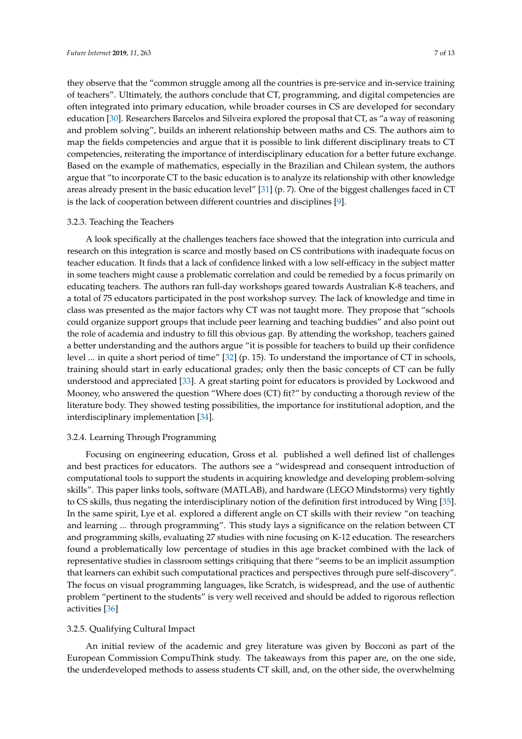they observe that the "common struggle among all the countries is pre-service and in-service training of teachers". Ultimately, the authors conclude that CT, programming, and digital competencies are often integrated into primary education, while broader courses in CS are developed for secondary education [\[30\]](#page-11-21). Researchers Barcelos and Silveira explored the proposal that CT, as "a way of reasoning and problem solving", builds an inherent relationship between maths and CS. The authors aim to map the fields competencies and argue that it is possible to link different disciplinary treats to CT competencies, reiterating the importance of interdisciplinary education for a better future exchange. Based on the example of mathematics, especially in the Brazilian and Chilean system, the authors argue that "to incorporate CT to the basic education is to analyze its relationship with other knowledge areas already present in the basic education level" [\[31\]](#page-11-22) (p. 7). One of the biggest challenges faced in CT is the lack of cooperation between different countries and disciplines [\[9\]](#page-11-0).

# 3.2.3. Teaching the Teachers

A look specifically at the challenges teachers face showed that the integration into curricula and research on this integration is scarce and mostly based on CS contributions with inadequate focus on teacher education. It finds that a lack of confidence linked with a low self-efficacy in the subject matter in some teachers might cause a problematic correlation and could be remedied by a focus primarily on educating teachers. The authors ran full-day workshops geared towards Australian K-8 teachers, and a total of 75 educators participated in the post workshop survey. The lack of knowledge and time in class was presented as the major factors why CT was not taught more. They propose that "schools could organize support groups that include peer learning and teaching buddies" and also point out the role of academia and industry to fill this obvious gap. By attending the workshop, teachers gained a better understanding and the authors argue "it is possible for teachers to build up their confidence level ... in quite a short period of time" [\[32\]](#page-11-23) (p. 15). To understand the importance of CT in schools, training should start in early educational grades; only then the basic concepts of CT can be fully understood and appreciated [\[33\]](#page-11-24). A great starting point for educators is provided by Lockwood and Mooney, who answered the question "Where does (CT) fit?" by conducting a thorough review of the literature body. They showed testing possibilities, the importance for institutional adoption, and the interdisciplinary implementation [\[34\]](#page-12-0).

#### 3.2.4. Learning Through Programming

Focusing on engineering education, Gross et al. published a well defined list of challenges and best practices for educators. The authors see a "widespread and consequent introduction of computational tools to support the students in acquiring knowledge and developing problem-solving skills". This paper links tools, software (MATLAB), and hardware (LEGO Mindstorms) very tightly to CS skills, thus negating the interdisciplinary notion of the definition first introduced by Wing [\[35\]](#page-12-1). In the same spirit, Lye et al. explored a different angle on CT skills with their review "on teaching and learning ... through programming". This study lays a significance on the relation between CT and programming skills, evaluating 27 studies with nine focusing on K-12 education. The researchers found a problematically low percentage of studies in this age bracket combined with the lack of representative studies in classroom settings critiquing that there "seems to be an implicit assumption that learners can exhibit such computational practices and perspectives through pure self-discovery". The focus on visual programming languages, like Scratch, is widespread, and the use of authentic problem "pertinent to the students" is very well received and should be added to rigorous reflection activities [\[36\]](#page-12-2)

# 3.2.5. Qualifying Cultural Impact

An initial review of the academic and grey literature was given by Bocconi as part of the European Commission CompuThink study. The takeaways from this paper are, on the one side, the underdeveloped methods to assess students CT skill, and, on the other side, the overwhelming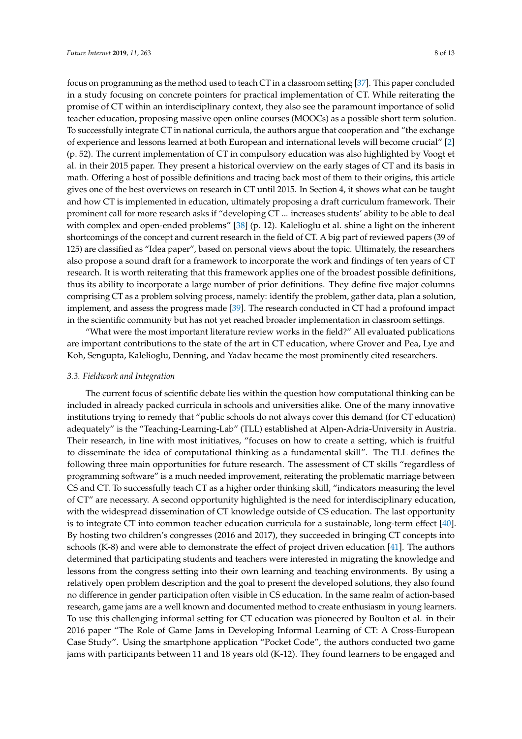focus on programming as the method used to teach CT in a classroom setting [\[37\]](#page-12-3). This paper concluded in a study focusing on concrete pointers for practical implementation of CT. While reiterating the promise of CT within an interdisciplinary context, they also see the paramount importance of solid teacher education, proposing massive open online courses (MOOCs) as a possible short term solution. To successfully integrate CT in national curricula, the authors argue that cooperation and "the exchange of experience and lessons learned at both European and international levels will become crucial" [\[2\]](#page-10-1) (p. 52). The current implementation of CT in compulsory education was also highlighted by Voogt et al. in their 2015 paper. They present a historical overview on the early stages of CT and its basis in math. Offering a host of possible definitions and tracing back most of them to their origins, this article gives one of the best overviews on research in CT until 2015. In Section 4, it shows what can be taught and how CT is implemented in education, ultimately proposing a draft curriculum framework. Their prominent call for more research asks if "developing CT ... increases students' ability to be able to deal with complex and open-ended problems" [\[38\]](#page-12-4) (p. 12). Kalelioglu et al. shine a light on the inherent shortcomings of the concept and current research in the field of CT. A big part of reviewed papers (39 of 125) are classified as "Idea paper", based on personal views about the topic. Ultimately, the researchers also propose a sound draft for a framework to incorporate the work and findings of ten years of CT research. It is worth reiterating that this framework applies one of the broadest possible definitions, thus its ability to incorporate a large number of prior definitions. They define five major columns comprising CT as a problem solving process, namely: identify the problem, gather data, plan a solution, implement, and assess the progress made [\[39\]](#page-12-5). The research conducted in CT had a profound impact in the scientific community but has not yet reached broader implementation in classroom settings.

"What were the most important literature review works in the field?" All evaluated publications are important contributions to the state of the art in CT education, where Grover and Pea, Lye and Koh, Sengupta, Kalelioglu, Denning, and Yadav became the most prominently cited researchers.

#### *3.3. Fieldwork and Integration*

The current focus of scientific debate lies within the question how computational thinking can be included in already packed curricula in schools and universities alike. One of the many innovative institutions trying to remedy that "public schools do not always cover this demand (for CT education) adequately" is the "Teaching-Learning-Lab" (TLL) established at Alpen-Adria-University in Austria. Their research, in line with most initiatives, "focuses on how to create a setting, which is fruitful to disseminate the idea of computational thinking as a fundamental skill". The TLL defines the following three main opportunities for future research. The assessment of CT skills "regardless of programming software" is a much needed improvement, reiterating the problematic marriage between CS and CT. To successfully teach CT as a higher order thinking skill, "indicators measuring the level of CT" are necessary. A second opportunity highlighted is the need for interdisciplinary education, with the widespread dissemination of CT knowledge outside of CS education. The last opportunity is to integrate CT into common teacher education curricula for a sustainable, long-term effect [\[40\]](#page-12-6). By hosting two children's congresses (2016 and 2017), they succeeded in bringing CT concepts into schools (K-8) and were able to demonstrate the effect of project driven education [\[41\]](#page-12-7). The authors determined that participating students and teachers were interested in migrating the knowledge and lessons from the congress setting into their own learning and teaching environments. By using a relatively open problem description and the goal to present the developed solutions, they also found no difference in gender participation often visible in CS education. In the same realm of action-based research, game jams are a well known and documented method to create enthusiasm in young learners. To use this challenging informal setting for CT education was pioneered by Boulton et al. in their 2016 paper "The Role of Game Jams in Developing Informal Learning of CT: A Cross-European Case Study". Using the smartphone application "Pocket Code", the authors conducted two game jams with participants between 11 and 18 years old (K-12). They found learners to be engaged and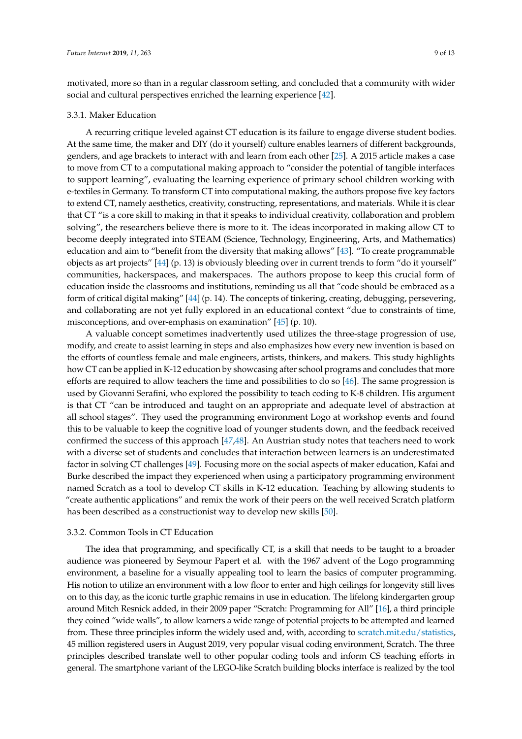motivated, more so than in a regular classroom setting, and concluded that a community with wider social and cultural perspectives enriched the learning experience [\[42\]](#page-12-8).

#### 3.3.1. Maker Education

A recurring critique leveled against CT education is its failure to engage diverse student bodies. At the same time, the maker and DIY (do it yourself) culture enables learners of different backgrounds, genders, and age brackets to interact with and learn from each other [\[25\]](#page-11-16). A 2015 article makes a case to move from CT to a computational making approach to "consider the potential of tangible interfaces to support learning", evaluating the learning experience of primary school children working with e-textiles in Germany. To transform CT into computational making, the authors propose five key factors to extend CT, namely aesthetics, creativity, constructing, representations, and materials. While it is clear that CT "is a core skill to making in that it speaks to individual creativity, collaboration and problem solving", the researchers believe there is more to it. The ideas incorporated in making allow CT to become deeply integrated into STEAM (Science, Technology, Engineering, Arts, and Mathematics) education and aim to "benefit from the diversity that making allows" [\[43\]](#page-12-9). "To create programmable objects as art projects" [\[44\]](#page-12-10) (p. 13) is obviously bleeding over in current trends to form "do it yourself" communities, hackerspaces, and makerspaces. The authors propose to keep this crucial form of education inside the classrooms and institutions, reminding us all that "code should be embraced as a form of critical digital making" [\[44\]](#page-12-10) (p. 14). The concepts of tinkering, creating, debugging, persevering, and collaborating are not yet fully explored in an educational context "due to constraints of time, misconceptions, and over-emphasis on examination" [\[45\]](#page-12-11) (p. 10).

A valuable concept sometimes inadvertently used utilizes the three-stage progression of use, modify, and create to assist learning in steps and also emphasizes how every new invention is based on the efforts of countless female and male engineers, artists, thinkers, and makers. This study highlights how CT can be applied in K-12 education by showcasing after school programs and concludes that more efforts are required to allow teachers the time and possibilities to do so [\[46\]](#page-12-12). The same progression is used by Giovanni Serafini, who explored the possibility to teach coding to K-8 children. His argument is that CT "can be introduced and taught on an appropriate and adequate level of abstraction at all school stages". They used the programming environment Logo at workshop events and found this to be valuable to keep the cognitive load of younger students down, and the feedback received confirmed the success of this approach [\[47](#page-12-13)[,48\]](#page-12-14). An Austrian study notes that teachers need to work with a diverse set of students and concludes that interaction between learners is an underestimated factor in solving CT challenges [\[49\]](#page-12-15). Focusing more on the social aspects of maker education, Kafai and Burke described the impact they experienced when using a participatory programming environment named Scratch as a tool to develop CT skills in K-12 education. Teaching by allowing students to "create authentic applications" and remix the work of their peers on the well received Scratch platform has been described as a constructionist way to develop new skills [\[50\]](#page-12-16).

#### 3.3.2. Common Tools in CT Education

The idea that programming, and specifically CT, is a skill that needs to be taught to a broader audience was pioneered by Seymour Papert et al. with the 1967 advent of the Logo programming environment, a baseline for a visually appealing tool to learn the basics of computer programming. His notion to utilize an environment with a low floor to enter and high ceilings for longevity still lives on to this day, as the iconic turtle graphic remains in use in education. The lifelong kindergarten group around Mitch Resnick added, in their 2009 paper "Scratch: Programming for All" [\[16\]](#page-11-7), a third principle they coined "wide walls", to allow learners a wide range of potential projects to be attempted and learned from. These three principles inform the widely used and, with, according to [scratch.mit.edu/statistics,](#page-0-0) 45 million registered users in August 2019, very popular visual coding environment, Scratch. The three principles described translate well to other popular coding tools and inform CS teaching efforts in general. The smartphone variant of the LEGO-like Scratch building blocks interface is realized by the tool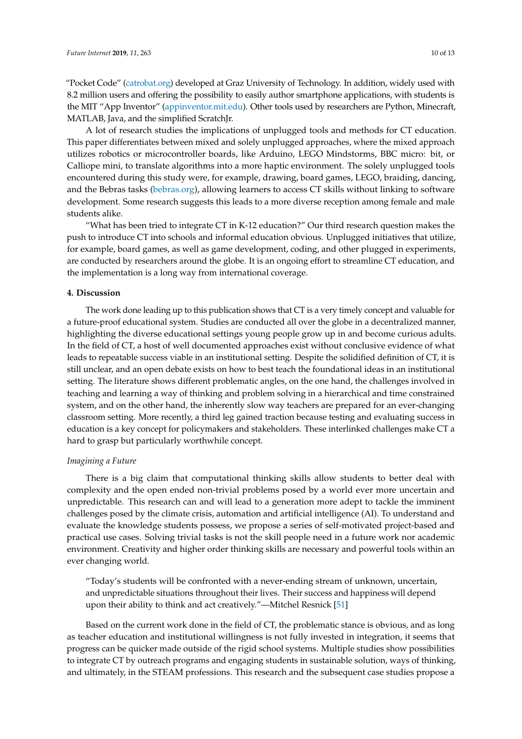"Pocket Code" [\(catrobat.org\)](#page-0-0) developed at Graz University of Technology. In addition, widely used with 8.2 million users and offering the possibility to easily author smartphone applications, with students is the MIT "App Inventor" [\(appinventor.mit.edu\)](#page-0-0). Other tools used by researchers are Python, Minecraft, MATLAB, Java, and the simplified ScratchJr.

A lot of research studies the implications of unplugged tools and methods for CT education. This paper differentiates between mixed and solely unplugged approaches, where the mixed approach utilizes robotics or microcontroller boards, like Arduino, LEGO Mindstorms, BBC micro: bit, or Calliope mini, to translate algorithms into a more haptic environment. The solely unplugged tools encountered during this study were, for example, drawing, board games, LEGO, braiding, dancing, and the Bebras tasks [\(bebras.org\)](#page-0-0), allowing learners to access CT skills without linking to software development. Some research suggests this leads to a more diverse reception among female and male students alike.

"What has been tried to integrate CT in K-12 education?" Our third research question makes the push to introduce CT into schools and informal education obvious. Unplugged initiatives that utilize, for example, board games, as well as game development, coding, and other plugged in experiments, are conducted by researchers around the globe. It is an ongoing effort to streamline CT education, and the implementation is a long way from international coverage.

# **4. Discussion**

The work done leading up to this publication shows that CT is a very timely concept and valuable for a future-proof educational system. Studies are conducted all over the globe in a decentralized manner, highlighting the diverse educational settings young people grow up in and become curious adults. In the field of CT, a host of well documented approaches exist without conclusive evidence of what leads to repeatable success viable in an institutional setting. Despite the solidified definition of CT, it is still unclear, and an open debate exists on how to best teach the foundational ideas in an institutional setting. The literature shows different problematic angles, on the one hand, the challenges involved in teaching and learning a way of thinking and problem solving in a hierarchical and time constrained system, and on the other hand, the inherently slow way teachers are prepared for an ever-changing classroom setting. More recently, a third leg gained traction because testing and evaluating success in education is a key concept for policymakers and stakeholders. These interlinked challenges make CT a hard to grasp but particularly worthwhile concept.

#### *Imagining a Future*

There is a big claim that computational thinking skills allow students to better deal with complexity and the open ended non-trivial problems posed by a world ever more uncertain and unpredictable. This research can and will lead to a generation more adept to tackle the imminent challenges posed by the climate crisis, automation and artificial intelligence (AI). To understand and evaluate the knowledge students possess, we propose a series of self-motivated project-based and practical use cases. Solving trivial tasks is not the skill people need in a future work nor academic environment. Creativity and higher order thinking skills are necessary and powerful tools within an ever changing world.

"Today's students will be confronted with a never-ending stream of unknown, uncertain, and unpredictable situations throughout their lives. Their success and happiness will depend upon their ability to think and act creatively."—Mitchel Resnick [\[51\]](#page-12-17)

Based on the current work done in the field of CT, the problematic stance is obvious, and as long as teacher education and institutional willingness is not fully invested in integration, it seems that progress can be quicker made outside of the rigid school systems. Multiple studies show possibilities to integrate CT by outreach programs and engaging students in sustainable solution, ways of thinking, and ultimately, in the STEAM professions. This research and the subsequent case studies propose a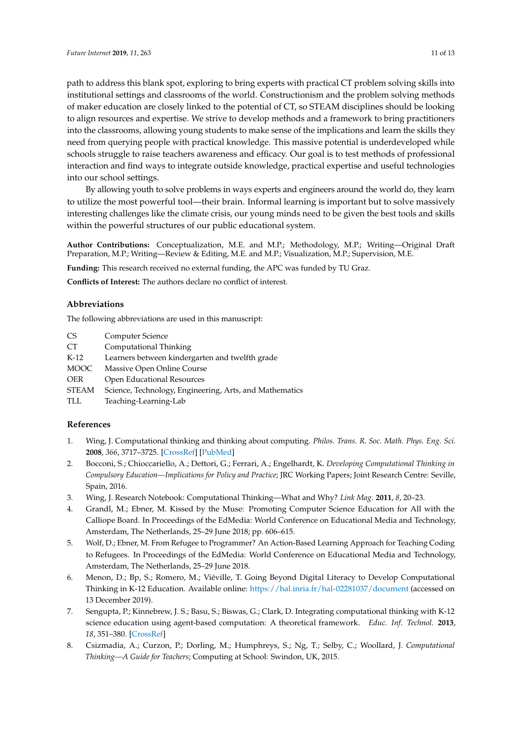path to address this blank spot, exploring to bring experts with practical CT problem solving skills into institutional settings and classrooms of the world. Constructionism and the problem solving methods of maker education are closely linked to the potential of CT, so STEAM disciplines should be looking to align resources and expertise. We strive to develop methods and a framework to bring practitioners into the classrooms, allowing young students to make sense of the implications and learn the skills they need from querying people with practical knowledge. This massive potential is underdeveloped while schools struggle to raise teachers awareness and efficacy. Our goal is to test methods of professional interaction and find ways to integrate outside knowledge, practical expertise and useful technologies into our school settings.

By allowing youth to solve problems in ways experts and engineers around the world do, they learn to utilize the most powerful tool—their brain. Informal learning is important but to solve massively interesting challenges like the climate crisis, our young minds need to be given the best tools and skills within the powerful structures of our public educational system.

**Author Contributions:** Conceptualization, M.E. and M.P.; Methodology, M.P.; Writing—Original Draft Preparation, M.P.; Writing—Review & Editing, M.E. and M.P.; Visualization, M.P.; Supervision, M.E.

**Funding:** This research received no external funding, the APC was funded by TU Graz.

**Conflicts of Interest:** The authors declare no conflict of interest.

# **Abbreviations**

The following abbreviations are used in this manuscript:

| CS    | Computer Science                                        |
|-------|---------------------------------------------------------|
| CT    | Computational Thinking                                  |
| K-12  | Learners between kindergarten and twelfth grade         |
| MOOC  | Massive Open Online Course                              |
| OER   | Open Educational Resources                              |
| STEAM | Science, Technology, Engineering, Arts, and Mathematics |
| TLL   | Teaching-Learning-Lab                                   |

# **References**

- <span id="page-10-0"></span>1. Wing, J. Computational thinking and thinking about computing. *Philos. Trans. R. Soc. Math. Phys. Eng. Sci.* **2008**, *366*, 3717–3725. [\[CrossRef\]](http://dx.doi.org/10.1098/rsta.2008.0118) [\[PubMed\]](http://www.ncbi.nlm.nih.gov/pubmed/18672462)
- <span id="page-10-1"></span>2. Bocconi, S.; Chioccariello, A.; Dettori, G.; Ferrari, A.; Engelhardt, K. *Developing Computational Thinking in Compulsory Education—Implications for Policy and Practice*; JRC Working Papers; Joint Research Centre: Seville, Spain, 2016.
- <span id="page-10-2"></span>3. Wing, J. Research Notebook: Computational Thinking—What and Why? *Link Mag.* **2011**, *8*, 20–23.
- <span id="page-10-3"></span>4. Grandl, M.; Ebner, M. Kissed by the Muse: Promoting Computer Science Education for All with the Calliope Board. In Proceedings of the EdMedia: World Conference on Educational Media and Technology, Amsterdam, The Netherlands, 25–29 June 2018; pp. 606–615.
- <span id="page-10-4"></span>5. Wolf, D.; Ebner, M. From Refugee to Programmer? An Action-Based Learning Approach for Teaching Coding to Refugees. In Proceedings of the EdMedia: World Conference on Educational Media and Technology, Amsterdam, The Netherlands, 25–29 June 2018.
- <span id="page-10-5"></span>6. Menon, D.; Bp, S.; Romero, M.; Viéville, T. Going Beyond Digital Literacy to Develop Computational Thinking in K-12 Education. Available online: <https://hal.inria.fr/hal-02281037/document> (accessed on 13 December 2019).
- <span id="page-10-6"></span>7. Sengupta, P.; Kinnebrew, J. S.; Basu, S.; Biswas, G.; Clark, D. Integrating computational thinking with K-12 science education using agent-based computation: A theoretical framework. *Educ. Inf. Technol.* **2013**, *18*, 351–380. [\[CrossRef\]](http://dx.doi.org/10.1007/s10639-012-9240-x)
- <span id="page-10-7"></span>8. Csizmadia, A.; Curzon, P.; Dorling, M.; Humphreys, S.; Ng, T.; Selby, C.; Woollard, J. *Computational Thinking—A Guide for Teachers*; Computing at School: Swindon, UK, 2015.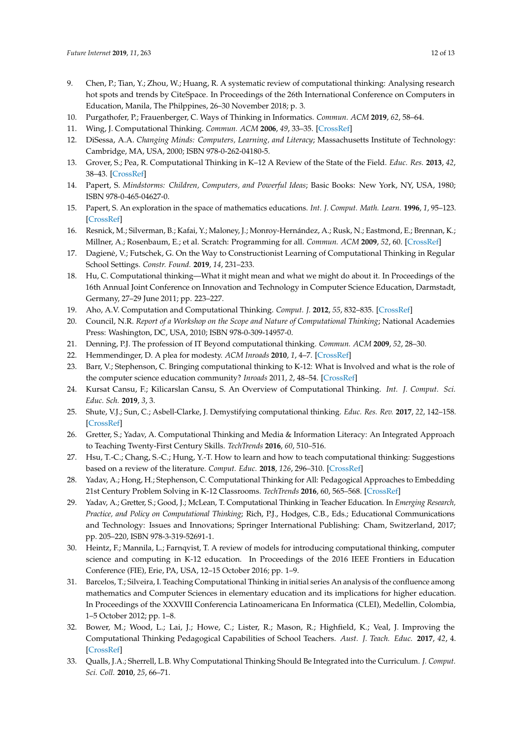- <span id="page-11-0"></span>9. Chen, P.; Tian, Y.; Zhou, W.; Huang, R. A systematic review of computational thinking: Analysing research hot spots and trends by CiteSpace. In Proceedings of the 26th International Conference on Computers in Education, Manila, The Philppines, 26–30 November 2018; p. 3.
- <span id="page-11-1"></span>10. Purgathofer, P.; Frauenberger, C. Ways of Thinking in Informatics. *Commun. ACM* **2019**, *62*, 58–64.
- <span id="page-11-2"></span>11. Wing, J. Computational Thinking. *Commun. ACM* **2006**, *49*, 33–35. [\[CrossRef\]](http://dx.doi.org/10.1145/1118178.1118215)
- <span id="page-11-3"></span>12. DiSessa, A.A. *Changing Minds: Computers, Learning, and Literacy*; Massachusetts Institute of Technology: Cambridge, MA, USA, 2000; ISBN 978-0-262-04180-5.
- <span id="page-11-4"></span>13. Grover, S.; Pea, R. Computational Thinking in K–12 A Review of the State of the Field. *Educ. Res.* **2013**, *42*, 38–43. [\[CrossRef\]](http://dx.doi.org/10.3102/0013189X12463051)
- <span id="page-11-5"></span>14. Papert, S. *Mindstorms: Children, Computers, and Powerful Ideas*; Basic Books: New York, NY, USA, 1980; ISBN 978-0-465-04627-0.
- <span id="page-11-6"></span>15. Papert, S. An exploration in the space of mathematics educations. *Int. J. Comput. Math. Learn.* **1996**, *1*, 95–123. [\[CrossRef\]](http://dx.doi.org/10.1007/BF00191473)
- <span id="page-11-7"></span>16. Resnick, M.; Silverman, B.; Kafai, Y.; Maloney, J.; Monroy-Hernández, A.; Rusk, N.; Eastmond, E.; Brennan, K.; Millner, A.; Rosenbaum, E.; et al. Scratch: Programming for all. *Commun. ACM* **2009**, *52*, 60. [\[CrossRef\]](http://dx.doi.org/10.1145/1592761.1592779)
- <span id="page-11-8"></span>17. Dagiene, V.; Futschek, G. On the Way to Constructionist Learning of Computational Thinking in Regular School Settings. *Constr. Found.* **2019**, *14*, 231–233.
- <span id="page-11-9"></span>18. Hu, C. Computational thinking—What it might mean and what we might do about it. In Proceedings of the 16th Annual Joint Conference on Innovation and Technology in Computer Science Education, Darmstadt, Germany, 27–29 June 2011; pp. 223–227.
- <span id="page-11-10"></span>19. Aho, A.V. Computation and Computational Thinking. *Comput. J.* **2012**, *55*, 832–835. [\[CrossRef\]](http://dx.doi.org/10.1093/comjnl/bxs074)
- <span id="page-11-11"></span>20. Council, N.R. *Report of a Workshop on the Scope and Nature of Computational Thinking*; National Academies Press: Washington, DC, USA, 2010; ISBN 978-0-309-14957-0.
- <span id="page-11-12"></span>21. Denning, P.J. The profession of IT Beyond computational thinking. *Commun. ACM* **2009**, *52*, 28–30.
- <span id="page-11-13"></span>22. Hemmendinger, D. A plea for modesty. *ACM Inroads* **2010**, *1*, 4–7. [\[CrossRef\]](http://dx.doi.org/10.1145/1805724.1805725)
- <span id="page-11-14"></span>23. Barr, V.; Stephenson, C. Bringing computational thinking to K-12: What is Involved and what is the role of the computer science education community? *Inroads* 2011, *2*, 48–54. [\[CrossRef\]](http://dx.doi.org/10.1145/1929887.1929905)
- <span id="page-11-15"></span>24. Kursat Cansu, F.; Kilicarslan Cansu, S. An Overview of Computational Thinking. *Int. J. Comput. Sci. Educ. Sch.* **2019**, *3*, 3.
- <span id="page-11-16"></span>25. Shute, V.J.; Sun, C.; Asbell-Clarke, J. Demystifying computational thinking. *Educ. Res. Rev.* **2017**, *22*, 142–158. [\[CrossRef\]](http://dx.doi.org/10.1016/j.edurev.2017.09.003)
- <span id="page-11-17"></span>26. Gretter, S.; Yadav, A. Computational Thinking and Media & Information Literacy: An Integrated Approach to Teaching Twenty-First Century Skills. *TechTrends* **2016**, *60*, 510–516.
- <span id="page-11-18"></span>27. Hsu, T.-C.; Chang, S.-C.; Hung, Y.-T. How to learn and how to teach computational thinking: Suggestions based on a review of the literature. *Comput. Educ.* **2018**, *126*, 296–310. [\[CrossRef\]](http://dx.doi.org/10.1016/j.compedu.2018.07.004)
- <span id="page-11-19"></span>28. Yadav, A.; Hong, H.; Stephenson, C. Computational Thinking for All: Pedagogical Approaches to Embedding 21st Century Problem Solving in K-12 Classrooms. *TechTrends* **2016**, 60, 565–568. [\[CrossRef\]](http://dx.doi.org/10.1007/s11528-016-0087-7)
- <span id="page-11-20"></span>29. Yadav, A.; Gretter, S.; Good, J.; McLean, T. Computational Thinking in Teacher Education. In *Emerging Research, Practice, and Policy on Computational Thinking*; Rich, P.J., Hodges, C.B., Eds.; Educational Communications and Technology: Issues and Innovations; Springer International Publishing: Cham, Switzerland, 2017; pp. 205–220, ISBN 978-3-319-52691-1.
- <span id="page-11-21"></span>30. Heintz, F.; Mannila, L.; Farnqvist, T. A review of models for introducing computational thinking, computer science and computing in K-12 education. In Proceedings of the 2016 IEEE Frontiers in Education Conference (FIE), Erie, PA, USA, 12–15 October 2016; pp. 1–9.
- <span id="page-11-22"></span>31. Barcelos, T.; Silveira, I. Teaching Computational Thinking in initial series An analysis of the confluence among mathematics and Computer Sciences in elementary education and its implications for higher education. In Proceedings of the XXXVIII Conferencia Latinoamericana En Informatica (CLEI), Medellin, Colombia, 1–5 October 2012; pp. 1–8.
- <span id="page-11-23"></span>32. Bower, M.; Wood, L.; Lai, J.; Howe, C.; Lister, R.; Mason, R.; Highfield, K.; Veal, J. Improving the Computational Thinking Pedagogical Capabilities of School Teachers. *Aust. J. Teach. Educ.* **2017**, *42*, 4. [\[CrossRef\]](http://dx.doi.org/10.14221/ajte.2017v42n3.4)
- <span id="page-11-24"></span>33. Qualls, J.A.; Sherrell, L.B. Why Computational Thinking Should Be Integrated into the Curriculum. *J. Comput. Sci. Coll.* **2010**, *25*, 66–71.